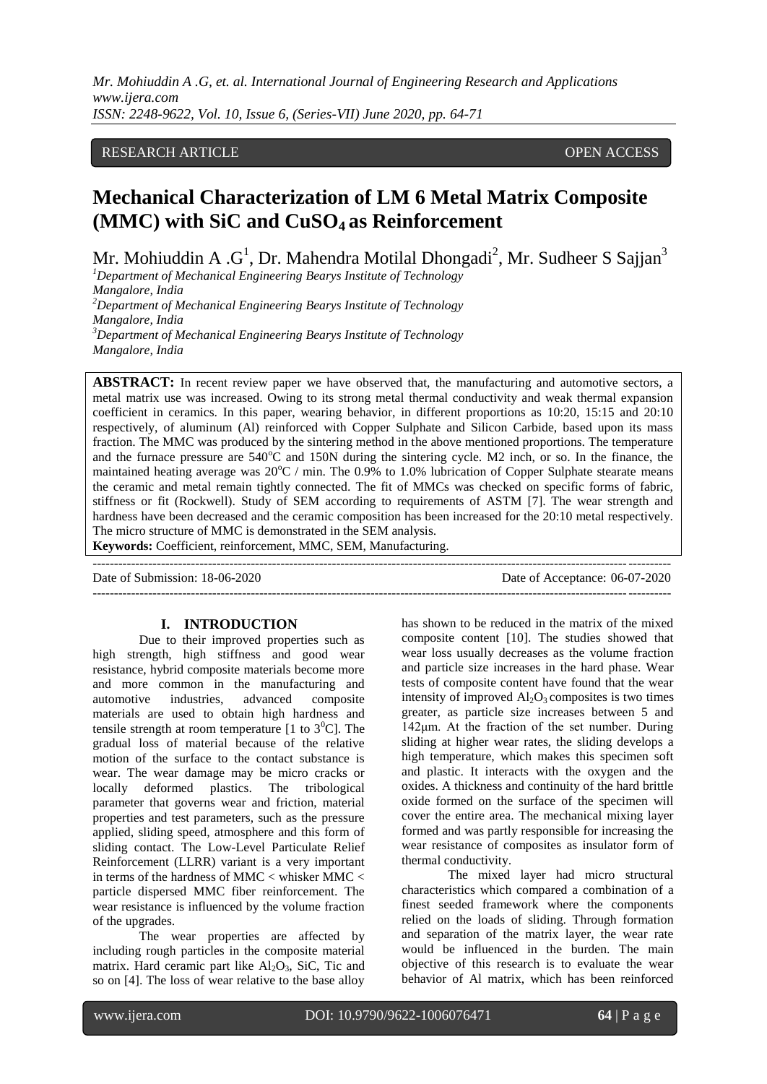## RESEARCH ARTICLE **CONSERVERS** OPEN ACCESS

# **Mechanical Characterization of LM 6 Metal Matrix Composite (MMC) with SiC and CuSO4 as Reinforcement**

Mr. Mohiuddin A . $G^1$ , Dr. Mahendra Motilal Dhongadi<sup>2</sup>, Mr. Sudheer S Sajjan<sup>3</sup>

*<sup>1</sup>Department of Mechanical Engineering Bearys Institute of Technology Mangalore, India <sup>2</sup>Department of Mechanical Engineering Bearys Institute of Technology Mangalore, India <sup>3</sup>Department of Mechanical Engineering Bearys Institute of Technology Mangalore, India*

**ABSTRACT:** In recent review paper we have observed that, the manufacturing and automotive sectors, a metal matrix use was increased. Owing to its strong metal thermal conductivity and weak thermal expansion coefficient in ceramics. In this paper, wearing behavior, in different proportions as 10:20, 15:15 and 20:10 respectively, of aluminum (Al) reinforced with Copper Sulphate and Silicon Carbide, based upon its mass fraction. The MMC was produced by the sintering method in the above mentioned proportions. The temperature and the furnace pressure are 540°C and 150N during the sintering cycle. M2 inch, or so. In the finance, the maintained heating average was  $20^{\circ}$ C / min. The 0.9% to 1.0% lubrication of Copper Sulphate stearate means the ceramic and metal remain tightly connected. The fit of MMCs was checked on specific forms of fabric, stiffness or fit (Rockwell). Study of SEM according to requirements of ASTM [7]. The wear strength and hardness have been decreased and the ceramic composition has been increased for the 20:10 metal respectively. The micro structure of MMC is demonstrated in the SEM analysis.

**Keywords:** Coefficient, reinforcement, MMC, SEM, Manufacturing. ---------------------------------------------------------------------------------------------------------------------------------------

Date of Submission: 18-06-2020 Date of Acceptance: 06-07-2020 ---------------------------------------------------------------------------------------------------------------------------------------

### **I. INTRODUCTION**

Due to their improved properties such as high strength, high stiffness and good wear resistance, hybrid composite materials become more and more common in the manufacturing and automotive industries, advanced composite materials are used to obtain high hardness and tensile strength at room temperature [1 to  $3^0$ C]. The gradual loss of material because of the relative motion of the surface to the contact substance is wear. The wear damage may be micro cracks or locally deformed plastics. The tribological locally deformed plastics. parameter that governs wear and friction, material properties and test parameters, such as the pressure applied, sliding speed, atmosphere and this form of sliding contact. The Low-Level Particulate Relief Reinforcement (LLRR) variant is a very important in terms of the hardness of MMC < whisker MMC < particle dispersed MMC fiber reinforcement. The wear resistance is influenced by the volume fraction of the upgrades.

The wear properties are affected by including rough particles in the composite material matrix. Hard ceramic part like  $Al_2O_3$ , SiC, Tic and so on [4]. The loss of wear relative to the base alloy has shown to be reduced in the matrix of the mixed composite content [10]. The studies showed that wear loss usually decreases as the volume fraction and particle size increases in the hard phase. Wear tests of composite content have found that the wear intensity of improved  $Al_2O_3$  composites is two times greater, as particle size increases between 5 and 142μm. At the fraction of the set number. During sliding at higher wear rates, the sliding develops a high temperature, which makes this specimen soft and plastic. It interacts with the oxygen and the oxides. A thickness and continuity of the hard brittle oxide formed on the surface of the specimen will cover the entire area. The mechanical mixing layer formed and was partly responsible for increasing the wear resistance of composites as insulator form of thermal conductivity.

The mixed layer had micro structural characteristics which compared a combination of a finest seeded framework where the components relied on the loads of sliding. Through formation and separation of the matrix layer, the wear rate would be influenced in the burden. The main objective of this research is to evaluate the wear behavior of Al matrix, which has been reinforced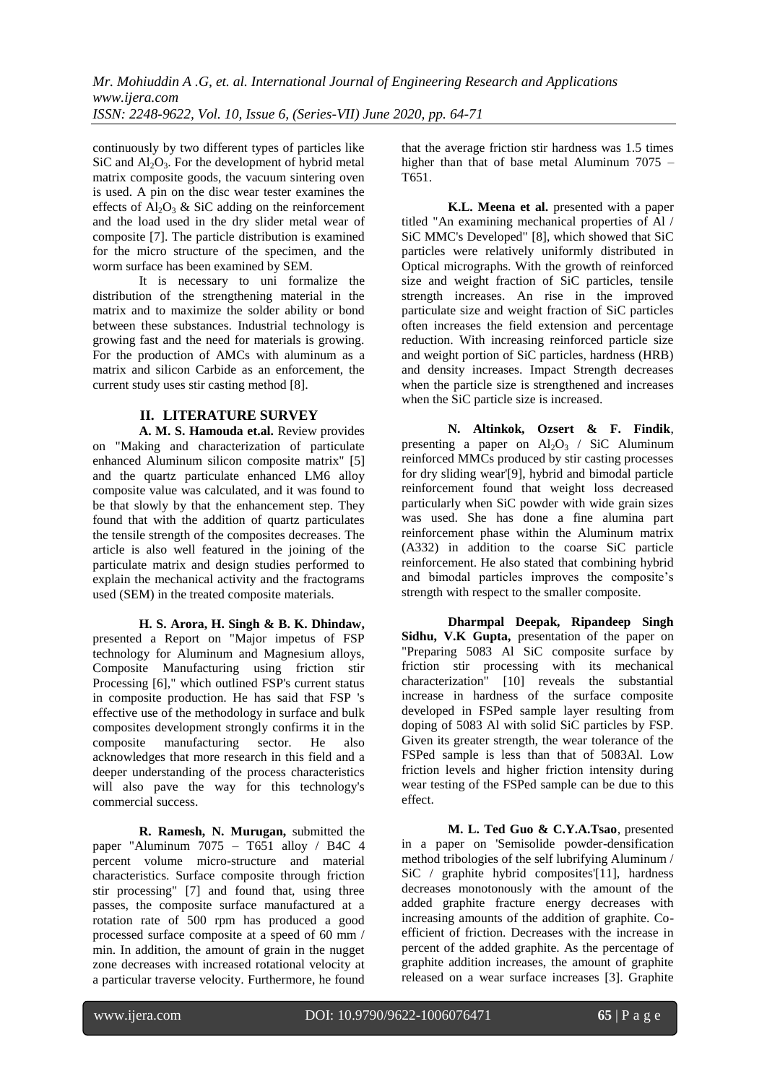continuously by two different types of particles like  $SiC$  and  $Al_2O_3$ . For the development of hybrid metal matrix composite goods, the vacuum sintering oven is used. A pin on the disc wear tester examines the effects of  $\overline{A}$ l<sub>2</sub>O<sub>3</sub> & SiC adding on the reinforcement and the load used in the dry slider metal wear of composite [7]. The particle distribution is examined for the micro structure of the specimen, and the worm surface has been examined by SEM.

It is necessary to uni formalize the distribution of the strengthening material in the matrix and to maximize the solder ability or bond between these substances. Industrial technology is growing fast and the need for materials is growing. For the production of AMCs with aluminum as a matrix and silicon Carbide as an enforcement, the current study uses stir casting method [8].

# **II. LITERATURE SURVEY**

**A. M. S. Hamouda et.al.** Review provides on "Making and characterization of particulate enhanced Aluminum silicon composite matrix" [5] and the quartz particulate enhanced LM6 alloy composite value was calculated, and it was found to be that slowly by that the enhancement step. They found that with the addition of quartz particulates the tensile strength of the composites decreases. The article is also well featured in the joining of the particulate matrix and design studies performed to explain the mechanical activity and the fractograms used (SEM) in the treated composite materials.

**H. S. Arora, H. Singh & B. K. Dhindaw,** presented a Report on "Major impetus of FSP technology for Aluminum and Magnesium alloys, Composite Manufacturing using friction stir Processing [6]," which outlined FSP's current status in composite production. He has said that FSP 's effective use of the methodology in surface and bulk composites development strongly confirms it in the composite manufacturing sector. He also acknowledges that more research in this field and a deeper understanding of the process characteristics will also pave the way for this technology's commercial success.

**R. Ramesh, N. Murugan,** submitted the paper "Aluminum 7075 – T651 alloy / B4C 4 percent volume micro-structure and material characteristics. Surface composite through friction stir processing" [7] and found that, using three passes, the composite surface manufactured at a rotation rate of 500 rpm has produced a good processed surface composite at a speed of 60 mm / min. In addition, the amount of grain in the nugget zone decreases with increased rotational velocity at a particular traverse velocity. Furthermore, he found that the average friction stir hardness was 1.5 times higher than that of base metal Aluminum 7075 – T651.

**K.L. Meena et al.** presented with a paper titled "An examining mechanical properties of Al / SiC MMC's Developed" [8], which showed that SiC particles were relatively uniformly distributed in Optical micrographs. With the growth of reinforced size and weight fraction of SiC particles, tensile strength increases. An rise in the improved particulate size and weight fraction of SiC particles often increases the field extension and percentage reduction. With increasing reinforced particle size and weight portion of SiC particles, hardness (HRB) and density increases. Impact Strength decreases when the particle size is strengthened and increases when the SiC particle size is increased.

**N. Altinkok, Ozsert & F. Findik**, presenting a paper on  $\text{Al}_2\text{O}_3$  / SiC Aluminum reinforced MMCs produced by stir casting processes for dry sliding wear'[9], hybrid and bimodal particle reinforcement found that weight loss decreased particularly when SiC powder with wide grain sizes was used. She has done a fine alumina part reinforcement phase within the Aluminum matrix (A332) in addition to the coarse SiC particle reinforcement. He also stated that combining hybrid and bimodal particles improves the composite's strength with respect to the smaller composite.

**Dharmpal Deepak, Ripandeep Singh Sidhu, V.K Gupta,** presentation of the paper on "Preparing 5083 Al SiC composite surface by friction stir processing with its mechanical characterization" [10] reveals the substantial increase in hardness of the surface composite developed in FSPed sample layer resulting from doping of 5083 Al with solid SiC particles by FSP. Given its greater strength, the wear tolerance of the FSPed sample is less than that of 5083Al. Low friction levels and higher friction intensity during wear testing of the FSPed sample can be due to this effect.

**M. L. Ted Guo & C.Y.A.Tsao**, presented in a paper on 'Semisolide powder-densification method tribologies of the self lubrifying Aluminum / SiC / graphite hybrid composites'[11], hardness decreases monotonously with the amount of the added graphite fracture energy decreases with increasing amounts of the addition of graphite. Coefficient of friction. Decreases with the increase in percent of the added graphite. As the percentage of graphite addition increases, the amount of graphite released on a wear surface increases [3]. Graphite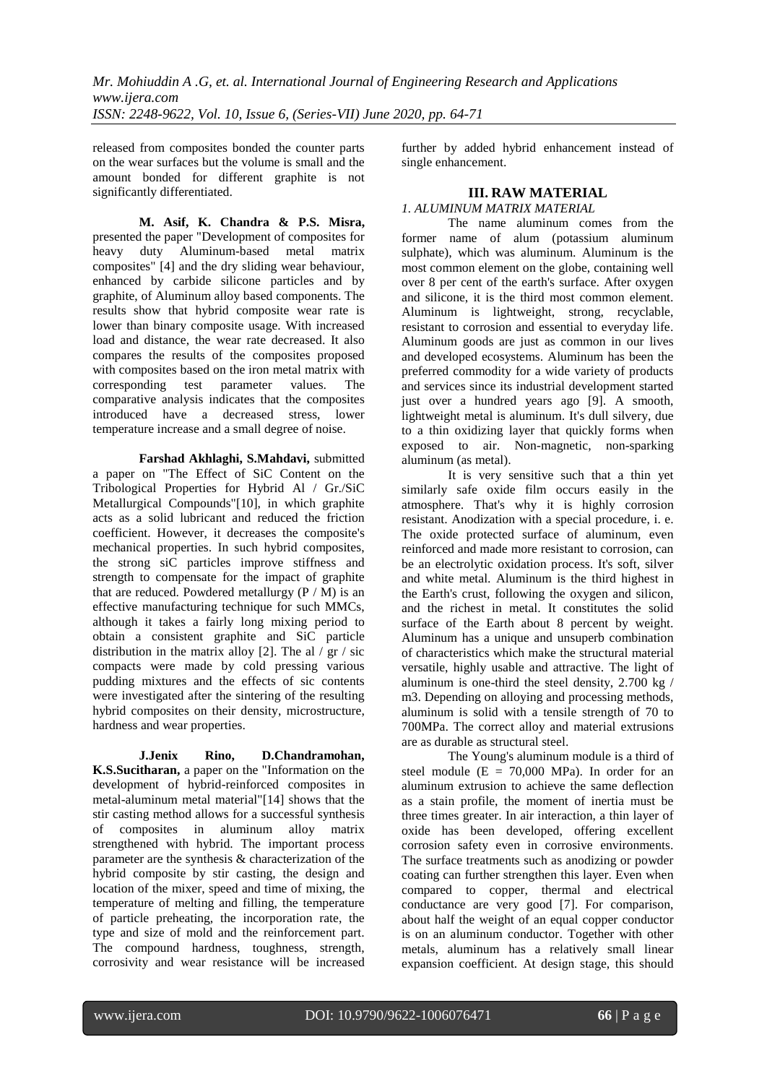released from composites bonded the counter parts on the wear surfaces but the volume is small and the amount bonded for different graphite is not significantly differentiated.

**M. Asif, K. Chandra & P.S. Misra,**  presented the paper "Development of composites for heavy duty Aluminum-based metal matrix composites" [4] and the dry sliding wear behaviour, enhanced by carbide silicone particles and by graphite, of Aluminum alloy based components. The results show that hybrid composite wear rate is lower than binary composite usage. With increased load and distance, the wear rate decreased. It also compares the results of the composites proposed with composites based on the iron metal matrix with<br>corresponding test parameter values. The corresponding test parameter values. The comparative analysis indicates that the composites introduced have a decreased stress, lower temperature increase and a small degree of noise.

**Farshad Akhlaghi, S.Mahdavi,** submitted a paper on "The Effect of SiC Content on the Tribological Properties for Hybrid Al / Gr./SiC Metallurgical Compounds"[10], in which graphite acts as a solid lubricant and reduced the friction coefficient. However, it decreases the composite's mechanical properties. In such hybrid composites, the strong siC particles improve stiffness and strength to compensate for the impact of graphite that are reduced. Powdered metallurgy  $(P / M)$  is an effective manufacturing technique for such MMCs, although it takes a fairly long mixing period to obtain a consistent graphite and SiC particle distribution in the matrix alloy [2]. The al  $/$  gr  $/$  sic compacts were made by cold pressing various pudding mixtures and the effects of sic contents were investigated after the sintering of the resulting hybrid composites on their density, microstructure, hardness and wear properties.

**J.Jenix Rino, D.Chandramohan, K.S.Sucitharan,** a paper on the "Information on the development of hybrid-reinforced composites in metal-aluminum metal material"[14] shows that the stir casting method allows for a successful synthesis of composites in aluminum alloy matrix strengthened with hybrid. The important process parameter are the synthesis & characterization of the hybrid composite by stir casting, the design and location of the mixer, speed and time of mixing, the temperature of melting and filling, the temperature of particle preheating, the incorporation rate, the type and size of mold and the reinforcement part. The compound hardness, toughness, strength, corrosivity and wear resistance will be increased further by added hybrid enhancement instead of single enhancement.

## **III. RAW MATERIAL**

# *1. ALUMINUM MATRIX MATERIAL*

The name aluminum comes from the former name of alum (potassium aluminum sulphate), which was aluminum. Aluminum is the most common element on the globe, containing well over 8 per cent of the earth's surface. After oxygen and silicone, it is the third most common element. Aluminum is lightweight, strong, recyclable, resistant to corrosion and essential to everyday life. Aluminum goods are just as common in our lives and developed ecosystems. Aluminum has been the preferred commodity for a wide variety of products and services since its industrial development started just over a hundred years ago [9]. A smooth, lightweight metal is aluminum. It's dull silvery, due to a thin oxidizing layer that quickly forms when exposed to air. Non-magnetic, non-sparking aluminum (as metal).

It is very sensitive such that a thin yet similarly safe oxide film occurs easily in the atmosphere. That's why it is highly corrosion resistant. Anodization with a special procedure, i. e. The oxide protected surface of aluminum, even reinforced and made more resistant to corrosion, can be an electrolytic oxidation process. It's soft, silver and white metal. Aluminum is the third highest in the Earth's crust, following the oxygen and silicon, and the richest in metal. It constitutes the solid surface of the Earth about 8 percent by weight. Aluminum has a unique and unsuperb combination of characteristics which make the structural material versatile, highly usable and attractive. The light of aluminum is one-third the steel density, 2.700 kg / m3. Depending on alloying and processing methods, aluminum is solid with a tensile strength of 70 to 700MPa. The correct alloy and material extrusions are as durable as structural steel.

The Young's aluminum module is a third of steel module  $(E = 70,000$  MPa). In order for an aluminum extrusion to achieve the same deflection as a stain profile, the moment of inertia must be three times greater. In air interaction, a thin layer of oxide has been developed, offering excellent corrosion safety even in corrosive environments. The surface treatments such as anodizing or powder coating can further strengthen this layer. Even when compared to copper, thermal and electrical conductance are very good [7]. For comparison, about half the weight of an equal copper conductor is on an aluminum conductor. Together with other metals, aluminum has a relatively small linear expansion coefficient. At design stage, this should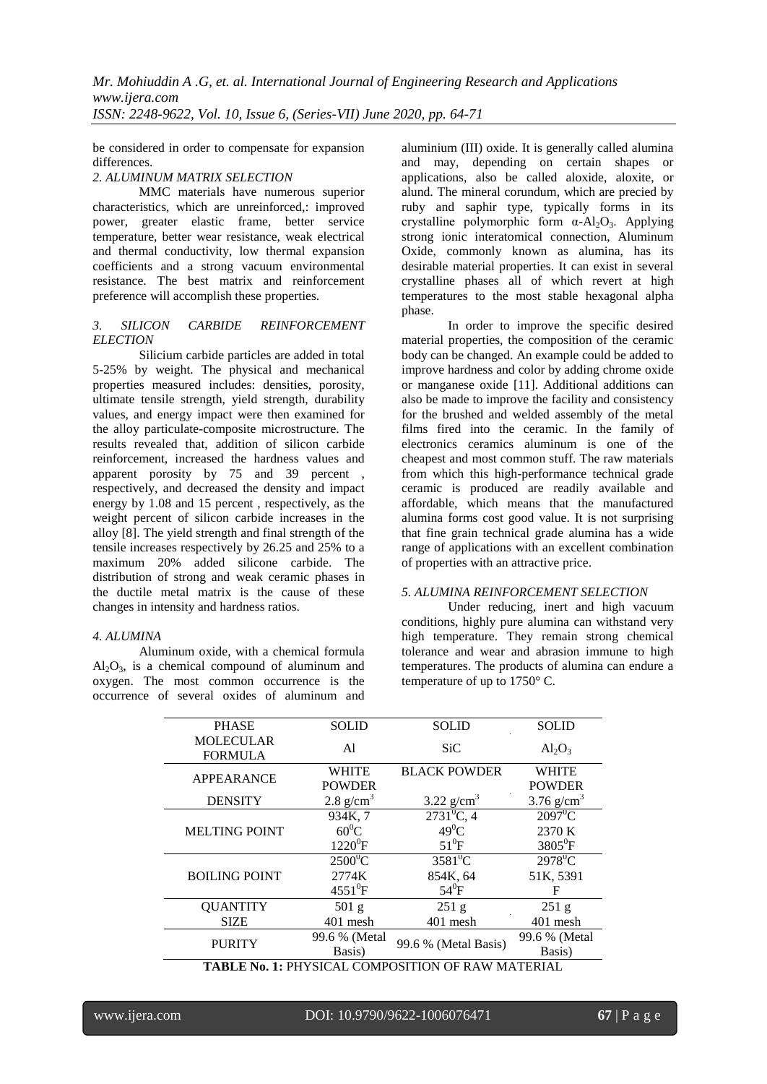be considered in order to compensate for expansion differences.

### *2. ALUMINUM MATRIX SELECTION*

MMC materials have numerous superior characteristics, which are unreinforced,: improved power, greater elastic frame, better service temperature, better wear resistance, weak electrical and thermal conductivity, low thermal expansion coefficients and a strong vacuum environmental resistance. The best matrix and reinforcement preference will accomplish these properties.

#### *3. SILICON CARBIDE REINFORCEMENT ELECTION*

Silicium carbide particles are added in total 5-25% by weight. The physical and mechanical properties measured includes: densities, porosity, ultimate tensile strength, yield strength, durability values, and energy impact were then examined for the alloy particulate-composite microstructure. The results revealed that, addition of silicon carbide reinforcement, increased the hardness values and apparent porosity by 75 and 39 percent , respectively, and decreased the density and impact energy by 1.08 and 15 percent , respectively, as the weight percent of silicon carbide increases in the alloy [8]. The yield strength and final strength of the tensile increases respectively by 26.25 and 25% to a maximum 20% added silicone carbide. The distribution of strong and weak ceramic phases in the ductile metal matrix is the cause of these changes in intensity and hardness ratios.

### *4. ALUMINA*

Aluminum oxide, with a chemical formula  $Al_2O_3$ , is a chemical compound of aluminum and oxygen. The most common occurrence is the occurrence of several oxides of aluminum and aluminium (III) oxide. It is generally called alumina and may, depending on certain shapes or applications, also be called aloxide, aloxite, or alund. The mineral corundum, which are precied by ruby and saphir type, typically forms in its crystalline polymorphic form α-Al2O3. Applying strong ionic interatomical connection, Aluminum Oxide, commonly known as alumina, has its desirable material properties. It can exist in several crystalline phases all of which revert at high temperatures to the most stable hexagonal alpha phase.

In order to improve the specific desired material properties, the composition of the ceramic body can be changed. An example could be added to improve hardness and color by adding chrome oxide or manganese oxide [11]. Additional additions can also be made to improve the facility and consistency for the brushed and welded assembly of the metal films fired into the ceramic. In the family of electronics ceramics aluminum is one of the cheapest and most common stuff. The raw materials from which this high-performance technical grade ceramic is produced are readily available and affordable, which means that the manufactured alumina forms cost good value. It is not surprising that fine grain technical grade alumina has a wide range of applications with an excellent combination of properties with an attractive price.

### *5. ALUMINA REINFORCEMENT SELECTION*

Under reducing, inert and high vacuum conditions, highly pure alumina can withstand very high temperature. They remain strong chemical tolerance and wear and abrasion immune to high temperatures. The products of alumina can endure a temperature of up to 1750° C.

| <b>PHASE</b>                       | <b>SOLID</b>                  | <b>SOLID</b>         | <b>SOLID</b>                  |  |
|------------------------------------|-------------------------------|----------------------|-------------------------------|--|
| <b>MOLECULAR</b><br><b>FORMULA</b> | A <sub>1</sub>                | <b>SiC</b>           | $Al_2O_3$                     |  |
| <b>APPEARANCE</b>                  | <b>WHITE</b><br><b>POWDER</b> | <b>BLACK POWDER</b>  | <b>WHITE</b><br><b>POWDER</b> |  |
| <b>DENSITY</b>                     | $2.8$ g/cm <sup>3</sup>       | 3.22 $g/cm^3$        | $3.76$ g/cm <sup>3</sup>      |  |
|                                    | 934K, 7                       | $2731^0C$ , 4        | $2097^0C$                     |  |
| <b>MELTING POINT</b>               | $60^0C$                       | $49^0C$              | 2370 K                        |  |
|                                    | $1220^0F$                     | $51^0$ F             | $3805$ <sup>o</sup> F         |  |
|                                    | $2500^0C$                     | $3581^0$ C           | $2978^0C$                     |  |
| <b>BOILING POINT</b>               | 2774K                         | 854K, 64             | 51K, 5391                     |  |
|                                    | $4551^{0}F$                   | $54^0$ F             | F                             |  |
| <b>QUANTITY</b>                    | 501 <sub>g</sub>              | 251 <sub>g</sub>     | 251 <sub>g</sub>              |  |
| <b>SIZE</b>                        | 401 mesh                      | 401 mesh             | 401 mesh                      |  |
| <b>PURITY</b>                      | 99.6 % (Metal                 | 99.6 % (Metal Basis) | 99.6 % (Metal                 |  |
|                                    | Basis)                        |                      | Basis)                        |  |
|                                    |                               |                      |                               |  |

**TABLE No. 1:** PHYSICAL COMPOSITION OF RAW MATERIAL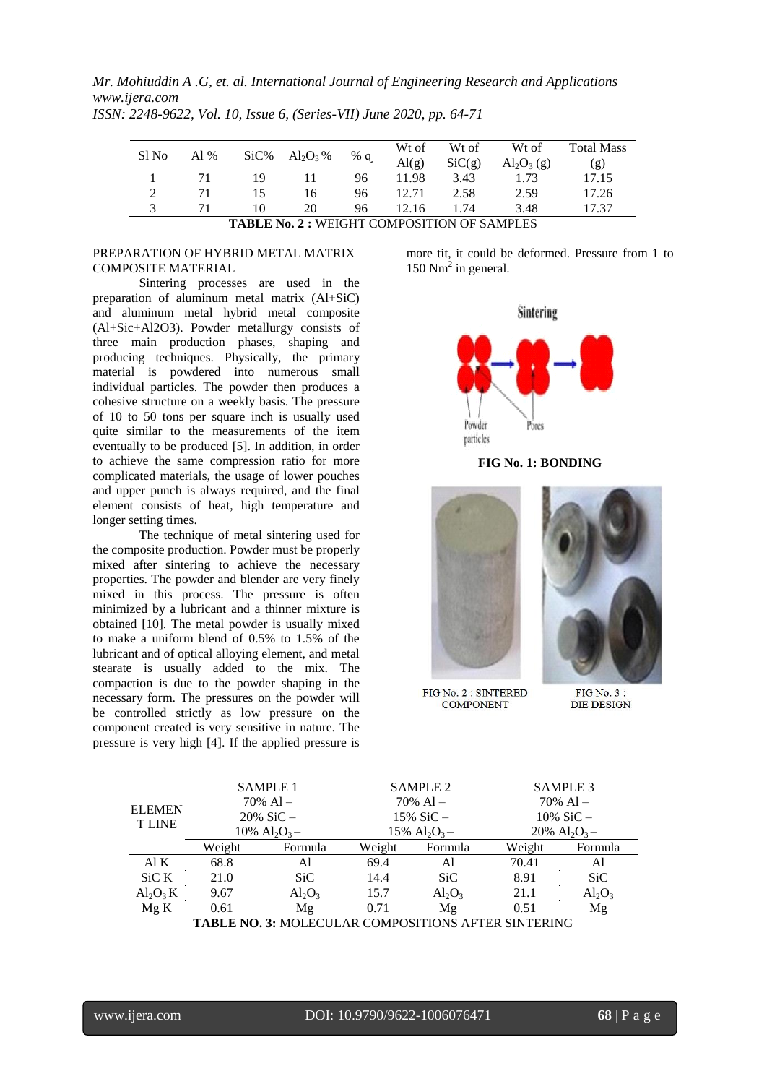*Mr. Mohiuddin A .G, et. al. International Journal of Engineering Research and Applications www.ijera.com*

| Sl No                                             | Al $%$ | $SiC\%$ | $\mathrm{Al}_2\mathrm{O}_3\%$ | % $q$ | Wt of<br>$\mathrm{Al}(g)$ | Wt of<br>SiC(g) | Wt of<br>$\text{Al}_2\text{O}_3(g)$ | <b>Total Mass</b><br>(g) |
|---------------------------------------------------|--------|---------|-------------------------------|-------|---------------------------|-----------------|-------------------------------------|--------------------------|
|                                                   | 71     | 19      |                               | 96    | 11.98                     | 3.43            | 1.73                                | 17.15                    |
|                                                   | 71     | 15      | 16                            | 96    |                           | 2.58            | 2.59                                | 17.26                    |
|                                                   | 71     | 10      | 20                            | 96    | 12.16                     | 1.74            | 3.48                                | 17.37                    |
| <b>TABLE No. 2: WEIGHT COMPOSITION OF SAMPLES</b> |        |         |                               |       |                           |                 |                                     |                          |

*ISSN: 2248-9622, Vol. 10, Issue 6, (Series-VII) June 2020, pp. 64-71*

#### PREPARATION OF HYBRID METAL MATRIX COMPOSITE MATERIAL

Sintering processes are used in the preparation of aluminum metal matrix (Al+SiC) and aluminum metal hybrid metal composite (Al+Sic+Al2O3). Powder metallurgy consists of three main production phases, shaping and producing techniques. Physically, the primary material is powdered into numerous small individual particles. The powder then produces a cohesive structure on a weekly basis. The pressure of 10 to 50 tons per square inch is usually used quite similar to the measurements of the item eventually to be produced [5]. In addition, in order to achieve the same compression ratio for more complicated materials, the usage of lower pouches and upper punch is always required, and the final element consists of heat, high temperature and longer setting times.

The technique of metal sintering used for the composite production. Powder must be properly mixed after sintering to achieve the necessary properties. The powder and blender are very finely mixed in this process. The pressure is often minimized by a lubricant and a thinner mixture is obtained [10]. The metal powder is usually mixed to make a uniform blend of 0.5% to 1.5% of the lubricant and of optical alloying element, and metal stearate is usually added to the mix. The compaction is due to the powder shaping in the necessary form. The pressures on the powder will be controlled strictly as low pressure on the component created is very sensitive in nature. The pressure is very high [4]. If the applied pressure is more tit, it could be deformed. Pressure from 1 to 150  $Nm<sup>2</sup>$  in general.



**FIG No. 1: BONDING**



FIG No. 2 : SINTERED **COMPONENT** 

FIG No. 3: **DIE DESIGN** 

| <b>ELEMEN</b><br><b>TLINE</b>   | <b>SAMPLE 1</b>                         |           |        | <b>SAMPLE 2</b> |        | <b>SAMPLE 3</b>                         |  |
|---------------------------------|-----------------------------------------|-----------|--------|-----------------|--------|-----------------------------------------|--|
|                                 | $70\%$ Al –                             |           |        | $70\%$ Al –     |        | $70\%$ Al –                             |  |
|                                 | $20\%$ SiC –                            |           |        | $15\%$ SiC –    |        | $10\%$ SiC –                            |  |
|                                 | $10\%$ Al <sub>2</sub> O <sub>3</sub> - |           |        | 15% $Al_2O_3-$  |        | $20\%$ Al <sub>2</sub> O <sub>3</sub> - |  |
|                                 | Weight                                  | Formula   | Weight | Formula         | Weight | Formula                                 |  |
| Al K                            | 68.8                                    | Al        | 69.4   | Al              | 70.41  | Al                                      |  |
| SiC K                           | 21.0                                    | SiC       | 14.4   | SiC.            | 8.91   | <b>SiC</b>                              |  |
| $\text{Al}_2\text{O}_3\text{K}$ | 9.67                                    | $Al_2O_3$ | 15.7   | $Al_2O_3$       | 21.1   | $Al_2O_3$                               |  |
| Mg K                            | 0.61                                    | Mg        | 0.71   | Mg              | 0.51   | Mg                                      |  |
|                                 |                                         |           |        |                 |        |                                         |  |

**TABLE NO. 3:** MOLECULAR COMPOSITIONS AFTER SINTERING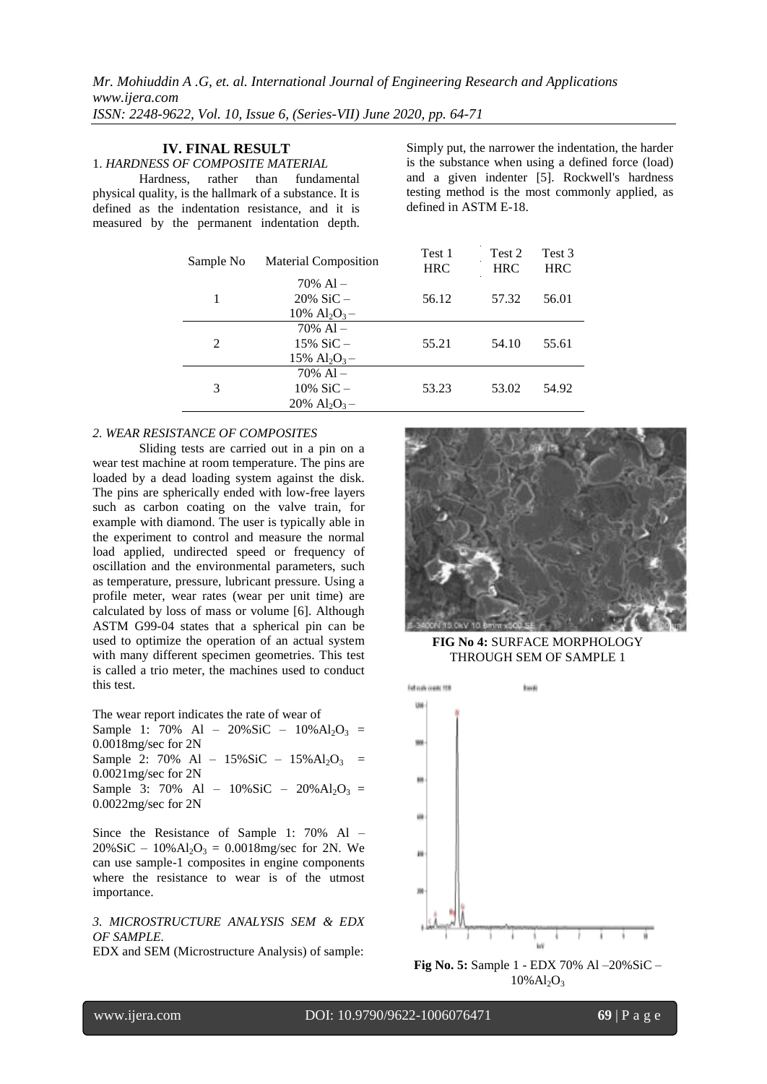## **IV. FINAL RESULT**

1. *HARDNESS OF COMPOSITE MATERIAL*

Hardness, rather than fundamental physical quality, is the hallmark of a substance. It is defined as the indentation resistance, and it is measured by the permanent indentation depth.

Simply put, the narrower the indentation, the harder is the substance when using a defined force (load) and a given indenter [5]. Rockwell's hardness testing method is the most commonly applied, as defined in ASTM E-18.

| Sample No | <b>Material Composition</b>             | Test 1<br><b>HRC</b> | Test 2<br><b>HRC</b> | Test 3<br><b>HRC</b> |
|-----------|-----------------------------------------|----------------------|----------------------|----------------------|
|           | $70\%$ Al –                             |                      |                      |                      |
|           | $20\%$ SiC –                            | 56.12                | 57.32                | 56.01                |
|           | 10% $Al_2O_3-$                          |                      |                      |                      |
| 2         | $70\%$ Al –                             |                      |                      |                      |
|           | $15\%$ SiC –                            | 55.21                | 54.10                | 55.61                |
|           | 15% $Al_2O_3-$                          |                      |                      |                      |
| 3         | $70\%$ Al –                             |                      |                      |                      |
|           | $10\%$ SiC –                            | 53.23                | 53.02                | 54.92                |
|           | $20\%$ Al <sub>2</sub> O <sub>3</sub> – |                      |                      |                      |

#### *2. WEAR RESISTANCE OF COMPOSITES*

Sliding tests are carried out in a pin on a wear test machine at room temperature. The pins are loaded by a dead loading system against the disk. The pins are spherically ended with low-free layers such as carbon coating on the valve train, for example with diamond. The user is typically able in the experiment to control and measure the normal load applied, undirected speed or frequency of oscillation and the environmental parameters, such as temperature, pressure, lubricant pressure. Using a profile meter, wear rates (wear per unit time) are calculated by loss of mass or volume [6]. Although ASTM G99-04 states that a spherical pin can be used to optimize the operation of an actual system with many different specimen geometries. This test is called a trio meter, the machines used to conduct this test.

The wear report indicates the rate of wear of

Sample 1: 70% Al – 20%SiC –  $10\%$  Al<sub>2</sub>O<sub>3</sub> = 0.0018mg/sec for 2N Sample 2: 70% Al -  $15\%$  SiC -  $15\%$  Al<sub>2</sub>O<sub>3</sub> = 0.0021mg/sec for 2N Sample 3: 70% Al –  $10\%$  SiC –  $20\%$  Al<sub>2</sub>O<sub>3</sub> = 0.0022mg/sec for 2N

Since the Resistance of Sample 1: 70% Al –  $20\%$  SiC –  $10\%$  Al<sub>2</sub>O<sub>3</sub> = 0.0018mg/sec for 2N. We can use sample-1 composites in engine components where the resistance to wear is of the utmost importance.

### *3. MICROSTRUCTURE ANALYSIS SEM & EDX OF SAMPLE.*

EDX and SEM (Microstructure Analysis) of sample:



**FIG No 4:** SURFACE MORPHOLOGY THROUGH SEM OF SAMPLE 1



**Fig No. 5:** Sample 1 - EDX 70% Al –20%SiC –  $10\%$ Al<sub>2</sub>O<sub>3</sub>

www.ijera.com DOI: 10.9790/9622-1006076471 **69** | P a g e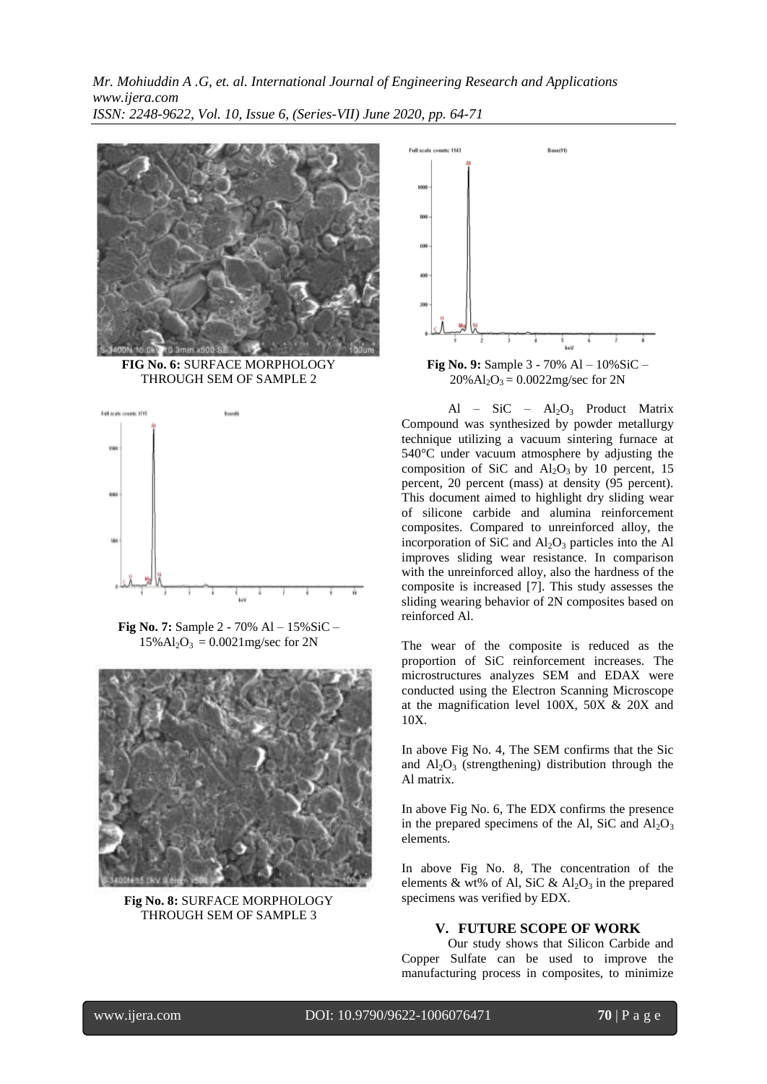

**FIG No. 6:** SURFACE MORPHOLOGY THROUGH SEM OF SAMPLE 2



**Fig No. 7:** Sample 2 - 70% Al – 15%SiC –  $15\%$  Al<sub>2</sub>O<sub>3</sub> = 0.0021 mg/sec for 2N



**Fig No. 8:** SURFACE MORPHOLOGY THROUGH SEM OF SAMPLE 3



 $20\%$  Al<sub>2</sub>O<sub>3</sub> = 0.0022mg/sec for 2N

Al – SiC –  $Al_2O_3$  Product Matrix Compound was synthesized by powder metallurgy technique utilizing a vacuum sintering furnace at 540°C under vacuum atmosphere by adjusting the composition of SiC and  $Al_2O_3$  by 10 percent, 15 percent, 20 percent (mass) at density (95 percent). This document aimed to highlight dry sliding wear of silicone carbide and alumina reinforcement composites. Compared to unreinforced alloy, the incorporation of SiC and  $Al_2O_3$  particles into the Al improves sliding wear resistance. In comparison with the unreinforced alloy, also the hardness of the composite is increased [7]. This study assesses the sliding wearing behavior of 2N composites based on reinforced Al.

The wear of the composite is reduced as the proportion of SiC reinforcement increases. The microstructures analyzes SEM and EDAX were conducted using the Electron Scanning Microscope at the magnification level 100X, 50X & 20X and 10X.

In above Fig No. 4, The SEM confirms that the Sic and  $Al_2O_3$  (strengthening) distribution through the Al matrix.

In above Fig No. 6, The EDX confirms the presence in the prepared specimens of the Al, SiC and  $Al_2O_3$ elements.

In above Fig No. 8, The concentration of the elements & wt% of Al, SiC &  $Al_2O_3$  in the prepared specimens was verified by EDX.

### **V. FUTURE SCOPE OF WORK**

Our study shows that Silicon Carbide and Copper Sulfate can be used to improve the manufacturing process in composites, to minimize